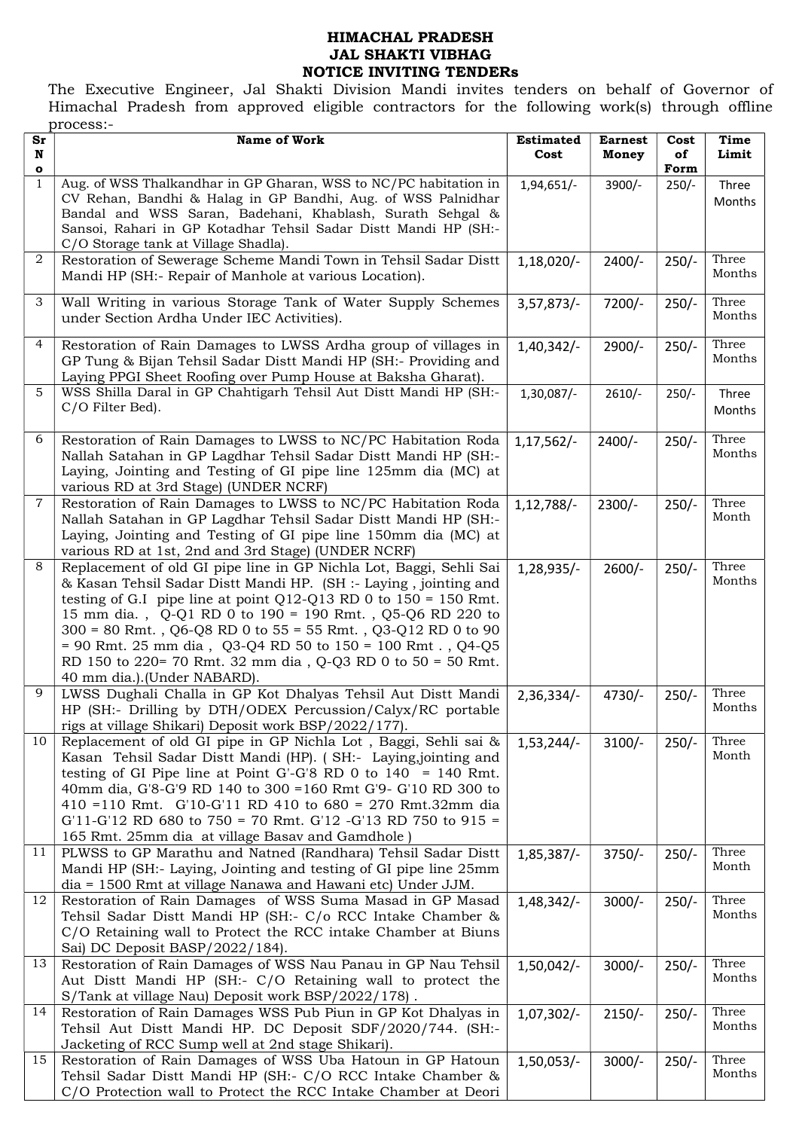## HIMACHAL PRADESH JAL SHAKTI VIBHAG NOTICE INVITING TENDERs

The Executive Engineer, Jal Shakti Division Mandi invites tenders on behalf of Governor of Himachal Pradesh from approved eligible contractors for the following work(s) through offline process:-

| $S_{\mathbf{r}}$          | <b>Name of Work</b>                                                                                                                                                                                                                                                                                                                                                                                                                                                                                     | <b>Estimated</b> | <b>Earnest</b> | Cost            | Time            |
|---------------------------|---------------------------------------------------------------------------------------------------------------------------------------------------------------------------------------------------------------------------------------------------------------------------------------------------------------------------------------------------------------------------------------------------------------------------------------------------------------------------------------------------------|------------------|----------------|-----------------|-----------------|
| N                         |                                                                                                                                                                                                                                                                                                                                                                                                                                                                                                         | Cost             | Money          | of              | Limit           |
| $\bullet$<br>$\mathbf{1}$ | Aug. of WSS Thalkandhar in GP Gharan, WSS to NC/PC habitation in<br>CV Rehan, Bandhi & Halag in GP Bandhi, Aug. of WSS Palnidhar<br>Bandal and WSS Saran, Badehani, Khablash, Surath Sehgal &<br>Sansoi, Rahari in GP Kotadhar Tehsil Sadar Distt Mandi HP (SH:-<br>C/O Storage tank at Village Shadla).                                                                                                                                                                                                | 1,94,651/-       | 3900/-         | Form<br>$250/-$ | Three<br>Months |
| 2                         | Restoration of Sewerage Scheme Mandi Town in Tehsil Sadar Distt<br>Mandi HP (SH:- Repair of Manhole at various Location).                                                                                                                                                                                                                                                                                                                                                                               | $1,18,020/-$     | $2400/-$       | $250/-$         | Three<br>Months |
| 3                         | Wall Writing in various Storage Tank of Water Supply Schemes<br>under Section Ardha Under IEC Activities).                                                                                                                                                                                                                                                                                                                                                                                              | 3,57,873/        | 7200/-         | $250/-$         | Three<br>Months |
| 4                         | Restoration of Rain Damages to LWSS Ardha group of villages in<br>GP Tung & Bijan Tehsil Sadar Distt Mandi HP (SH:- Providing and<br>Laying PPGI Sheet Roofing over Pump House at Baksha Gharat).                                                                                                                                                                                                                                                                                                       | 1,40,342/        | 2900/-         | $250/-$         | Three<br>Months |
| 5                         | WSS Shilla Daral in GP Chahtigarh Tehsil Aut Distt Mandi HP (SH:-<br>C/O Filter Bed).                                                                                                                                                                                                                                                                                                                                                                                                                   | 1,30,087/-       | $2610/-$       | $250/-$         | Three<br>Months |
| 6                         | Restoration of Rain Damages to LWSS to NC/PC Habitation Roda<br>Nallah Satahan in GP Lagdhar Tehsil Sadar Distt Mandi HP (SH:-<br>Laying, Jointing and Testing of GI pipe line 125mm dia (MC) at<br>various RD at 3rd Stage) (UNDER NCRF)                                                                                                                                                                                                                                                               | $1,17,562/-$     | $2400/-$       | $250/-$         | Three<br>Months |
| $\overline{7}$            | Restoration of Rain Damages to LWSS to NC/PC Habitation Roda<br>Nallah Satahan in GP Lagdhar Tehsil Sadar Distt Mandi HP (SH:-<br>Laying, Jointing and Testing of GI pipe line 150mm dia (MC) at<br>various RD at 1st, 2nd and 3rd Stage) (UNDER NCRF)                                                                                                                                                                                                                                                  | $1,12,788/-$     | $2300/-$       | $250/-$         | Three<br>Month  |
| 8                         | Replacement of old GI pipe line in GP Nichla Lot, Baggi, Sehli Sai<br>& Kasan Tehsil Sadar Distt Mandi HP. (SH :- Laying, jointing and<br>testing of G.I pipe line at point Q12-Q13 RD 0 to $150 = 150$ Rmt.<br>15 mm dia., Q-Q1 RD 0 to 190 = 190 Rmt., Q5-Q6 RD 220 to<br>$300 = 80$ Rmt., Q6-Q8 RD 0 to 55 = 55 Rmt., Q3-Q12 RD 0 to 90<br>= 90 Rmt. 25 mm dia, Q3-Q4 RD 50 to $150 = 100$ Rmt., Q4-Q5<br>RD 150 to 220= 70 Rmt. 32 mm dia, Q-Q3 RD 0 to 50 = 50 Rmt.<br>40 mm dia.).(Under NABARD). | 1,28,935/-       | $2600/-$       | $250/-$         | Three<br>Months |
| 9                         | LWSS Dughali Challa in GP Kot Dhalyas Tehsil Aut Distt Mandi<br>HP (SH:- Drilling by DTH/ODEX Percussion/Calyx/RC portable<br>rigs at village Shikari) Deposit work BSP/2022/177).                                                                                                                                                                                                                                                                                                                      | 2,36,334/        | $4730/-$       | $250/-$         | Three<br>Months |
| 10                        | Replacement of old GI pipe in GP Nichla Lot, Baggi, Sehli sai &<br>Kasan Tehsil Sadar Distt Mandi (HP). (SH:- Laying,jointing and<br>testing of GI Pipe line at Point G'-G'8 RD 0 to $140 = 140$ Rmt.<br>40mm dia, G'8-G'9 RD 140 to 300 = 160 Rmt G'9- G'10 RD 300 to<br>410 = 110 Rmt. G'10-G'11 RD 410 to 680 = 270 Rmt.32mm dia<br>$G'11-G'12$ RD 680 to 750 = 70 Rmt. $G'12$ -G'13 RD 750 to 915 =<br>165 Rmt. 25mm dia at village Basav and Gamdhole)                                             | $1,53,244/-$     | $3100/-$       | $250/-$         | Three<br>Month  |
| 11                        | PLWSS to GP Marathu and Natned (Randhara) Tehsil Sadar Distt<br>Mandi HP (SH:- Laying, Jointing and testing of GI pipe line 25mm<br>dia = 1500 Rmt at village Nanawa and Hawani etc) Under JJM.                                                                                                                                                                                                                                                                                                         | 1,85,387/-       | $3750/-$       | $250/-$         | Three<br>Month  |
| 12                        | Restoration of Rain Damages of WSS Suma Masad in GP Masad<br>Tehsil Sadar Distt Mandi HP (SH:- C/o RCC Intake Chamber &<br>C/O Retaining wall to Protect the RCC intake Chamber at Biuns<br>Sai) DC Deposit BASP/2022/184).                                                                                                                                                                                                                                                                             | $1,48,342/-$     | $3000/-$       | $250/-$         | Three<br>Months |
| 13                        | Restoration of Rain Damages of WSS Nau Panau in GP Nau Tehsil<br>Aut Distt Mandi HP (SH:- C/O Retaining wall to protect the<br>S/Tank at village Nau) Deposit work BSP/2022/178).                                                                                                                                                                                                                                                                                                                       | $1,50,042/-$     | $3000/-$       | $250/-$         | Three<br>Months |
| 14                        | Restoration of Rain Damages WSS Pub Piun in GP Kot Dhalyas in<br>Tehsil Aut Distt Mandi HP. DC Deposit SDF/2020/744. (SH:-<br>Jacketing of RCC Sump well at 2nd stage Shikari).                                                                                                                                                                                                                                                                                                                         | $1,07,302/-$     | $2150/-$       | $250/-$         | Three<br>Months |
| 15                        | Restoration of Rain Damages of WSS Uba Hatoun in GP Hatoun<br>Tehsil Sadar Distt Mandi HP (SH:- C/O RCC Intake Chamber &<br>C/O Protection wall to Protect the RCC Intake Chamber at Deori                                                                                                                                                                                                                                                                                                              | $1,50,053/$ -    | $3000/-$       | $250/-$         | Three<br>Months |